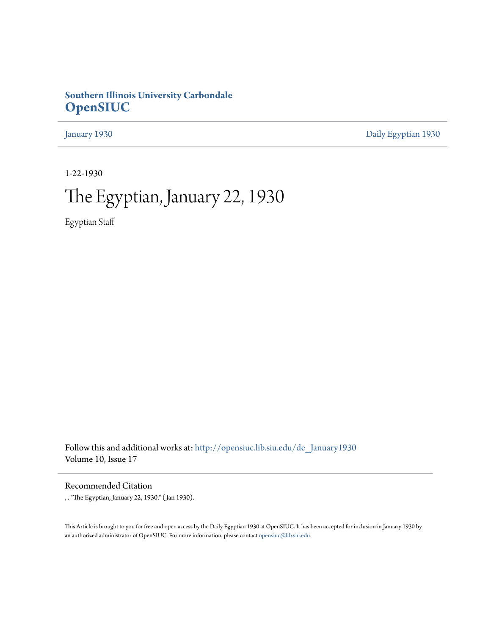## **Southern Illinois University Carbondale [OpenSIUC](http://opensiuc.lib.siu.edu?utm_source=opensiuc.lib.siu.edu%2Fde_January1930%2F2&utm_medium=PDF&utm_campaign=PDFCoverPages)**

[January 1930](http://opensiuc.lib.siu.edu/de_January1930?utm_source=opensiuc.lib.siu.edu%2Fde_January1930%2F2&utm_medium=PDF&utm_campaign=PDFCoverPages) [Daily Egyptian 1930](http://opensiuc.lib.siu.edu/de_1930?utm_source=opensiuc.lib.siu.edu%2Fde_January1930%2F2&utm_medium=PDF&utm_campaign=PDFCoverPages)

1-22-1930

# The Egyptian, January 22, 1930

Egyptian Staff

Follow this and additional works at: [http://opensiuc.lib.siu.edu/de\\_January1930](http://opensiuc.lib.siu.edu/de_January1930?utm_source=opensiuc.lib.siu.edu%2Fde_January1930%2F2&utm_medium=PDF&utm_campaign=PDFCoverPages) Volume 10, Issue 17

Recommended Citation

, . "The Egyptian, January 22, 1930." ( Jan 1930).

This Article is brought to you for free and open access by the Daily Egyptian 1930 at OpenSIUC. It has been accepted for inclusion in January 1930 by an authorized administrator of OpenSIUC. For more information, please contact [opensiuc@lib.siu.edu.](mailto:opensiuc@lib.siu.edu)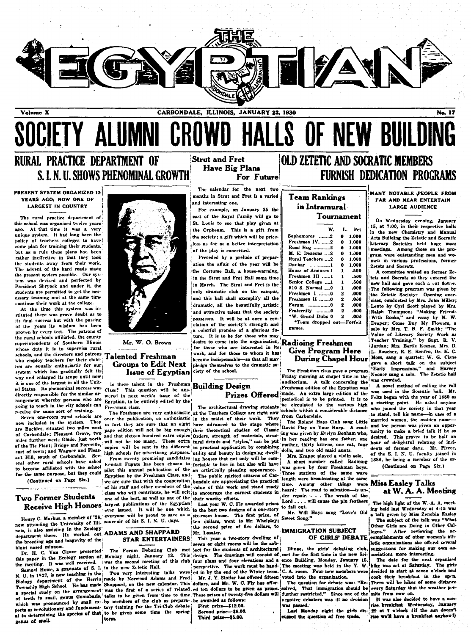

## MNI CROWD HALLS OF NEW BUI SOCIETY A

## RURAL PRACTICE DEPARTMENT OF S. L. N. U. SHOWS PHENOMINAL GROWTH

#### **PRESENT SYSTEM ORGANIZED 12** YEARS AGO; NOW ONE OF **LARGEST IN COUNTRY**

The rural practice department of this school was organized twelve years ago. At that time it was a very unique system. It had long been the policy of teachers colleges to have some plan for training their students, but as a rule these plans had been rather ineffective in that they took the students away from their work.<br>The advent of the hard roads made the present system possible. Our system was devised and perfected by<br>President Shryock and under it, the students are permitted to get the necessary training and at the same time continue their work at the college.

At the time this system was instituted there was grave doubt as to its final success but with the passing of the years its wisdom has been proven by every test. The patrons of the rural schools affiliated, the county superintendents of Southern Illinois whose duty it is to supervise rural schools, and the directors and patrons who employ teachers for their children are equally enthusiastic for our which has gradually felt its system way and enlarged its scope until now it is one of the largest in all the United States. Its phenominal success was directly responsible for the similar arrangement whereby persons who are going to teach in the city schools can receive the same sort of training.

Seven one-room rural schools are now included in the system. They are Buckles, situated two miles west of Carbondale; Pleasant Grove, two mues ruriner west; Giade, just north will not be too many. These extra opies<br>of the Tie Plant; Bridge and Foreville, spill not be too many. These extra east of town; and Wagner and Pleasant Hill, south of Carbondale. Several other rural schools have asked to become affiliated with the school for the same purpose, but they could (Continued on Page Six.)

#### Two Former Students **Receive High Honors**

now attending the University of Illi- souvenir of his S. I. N. U. days. nois, is also assisting in the Zoology department there. He worked out ADAMS AND SHAPPARD the breeding age and longevity of the osed minnow. blunt n

genus of snail.

Mr. W. O. Brown

#### **Talented Freshman Groups to Edit Next Issue of Egyptian**

Is there talent in the Freshman This question will be ans-Class? wered in next week's issue of the Egyptian, to be entirely edited by the Freshman class.

over the publication, so enthusiastic in fact they are sure that an eight have advanced to the stage where page edition will not be big enough their theoretical studies of Classic and that sixteen hundred extra copies Orders, strength of materials, struccopies will be sent to the different to practical application by combining

From twenty promising candidates Kendall Fugate has been chosen to fortable to live in but also will have Kentall Purate has been curved in a relation of the  $\frac{1}{2}$  relation of the  $\frac{1}{2}$  relation of the  $\frac{1}{2}$  relation of the set of  $\frac{1}{2}$  relation of  $\frac{1}{2}$  relation of  $\frac{1}{2}$  relation of  $\frac{1}{2}$  relation of his staff and other members of the class who will contribute, he will edit one of the best, as well as one of the their worthy efforts. largest publications of the Egyptian

Henry C. Markus, a member of '28, everyone will be proud to save as a

### **STAR ENTERTAINERS**

N. U. in 1927, is now teaching in the Two very interesting talks were<br>Biology department of the Herrin made by Norwood Adams and Fred hip High School. He has made Shappard, on the new calendar. This dollars, and Mr. W. C. Fly has offera special study on the arrangement was the first of a series of related of teeth in snail, genus Goniobasis, talks to be given from time to time which was pronounced by small ex- by members of the club as prepara- be awarded as follows: perts as revolutionary and fundament- tory training for the Tri-Club debate al in determining the apecies of that, to be given some time the spring term.

#### **Strut and Fret Have Big Plans** For Future

The calendar for the next two months in Strut and Fret is a varied and interesting one.

For example, on January 25 the cast of the Royal Family will go to St. Louis to see that play given at the Orpheum. This is a gift from the society; a gift which will be priceless as far as a better interpretation of the play is concerned.

Preceded by a prelude of preparation the affair of the year will be the Costume Ball, a house-warming, in the Strut and Fret Hall some time in March. The Strut and Fret is the only dramatic club on the campus, and this ball shall exemplify all the dramatic, all the beautifully artistic and attractive talent that the society possesses. It will be at once a rev-<br>elation of the society's strength and a colorful promise of a glorious future. It is to be for those who may desire to come into the organization, Radioing Freshmen for those who are interested in its work, and for those to whom it has become indispensable-so that all may pledge themselves to the dramatic society of the school.

#### **Building Design Prizes Offered**

### The architectural drawing students The Freshmen are very enthusiastic at the Teachers College are right now in the midst of their work. They tural details and "styles," can be put ing houses that not only will be comare sure that with the cooperation bondale are appreciating the practical value of this work and stand ready to encourage the earnest students in

Last year W. C. Fly awarded prizes

Mr. Lasater. This year a two-story dwelling of seven or eight rooms will be the sub-

perspective. The work must be hand-<br>ed in by the end of the Winter term. Mr. J. Y. Stotlar has offered fifteen ed ten dollars to be given as prizes These prizes of twenty-five dollars will

First prize-\$12.00. Second prize-\$8.00. Third prize-\$5.00.

## **OLD ZETETIC AND SOCRATIC MEMBERS FURNISH DEDICATION PROGRAMS**

**Team Rankings** in Intramural

| w.                        | L. | Pct   |
|---------------------------|----|-------|
| Sophomores 2              | 0  | 1.000 |
| Freshmen IV. 2            | 0  | 1.000 |
| Road Hog 2                | O  | 1.000 |
| M. E. Deacons 2           | 0  | 1.000 |
| Rural Teachers 2          | ٥  | 1.000 |
| Dunbar 1                  | 0  | 1.000 |
| House of Anduses 1        | 1  | .500  |
| Freshmen III 1            | 1  | .500  |
| Senfor College 1          | 1  | .500  |
| 810 S. Normal  0          | 1  | .000  |
| Freshmen 1 0              | 2  | .000  |
| Freshmen II 0             | 2  | .000  |
| Forum _________.0         | 2  | .000  |
| Fraternity 0              | 2  | .000  |
| *W. Grand Dubs 0          | 2  | .008  |
| "Team dropped out-Forfeit |    |       |
| <b>DOM NO. 6. 0.</b>      |    |       |

# **Give Program Here**

The Freshman class gave a program Friday morning at chapel time in the auditorium. A talk concerning the Freshman edition of the Egyptian was An extra large edition of the made. periodical is to be printed. It is to schools within a considerable distance from Carbondale.

The Roland Hays Club sang Little David Play on Your Harp. A reading was given by Evelyn Bonham who, in her reading has one father, one mother, thirty kittens, one cat, four dolls, and two old maid aunts.

Mrs. Krappe played a violin solo. A short number called Radioine was given by four Freshman boys. Thre stations of the same wave length were broadcasting at the same time. Among other things were der repair. . . . The wrath of the Lord . . . . will cause the pin feathers to fall out.

Mr. Will Hays sang "Love's Old Sweet Song."

#### **IMMIGRATION SUBJECT** OF GIRLS' DEBATE

Dr. H. C. Van Cleave presented in a rorum Debaung Club met ject for the students of architectural illinae, the girls' debating club,<br>this paper in the Ecology section of Monday night, January 13. This design. The drawings Illinae, the girls' debating club voted into the organization.

The question for debate was: "Re solved. That immigration should be every Saturday that the weather por-<br>further restricted." Since one of the mits from now on. negative debaters was ill no decision was passed.

cussed the question of free trade.

MANY NOTABLE PEOPLE FROM FAR AND NEAR ENTERTAIN **LARGE AUDIENCE** 

On Wednesday evening, January 15, at 7:00, in their respective halls in the new Chemistry and Manual Arts Building the Zetetic and Socratic Literary Societies held huge mass meetings. Among those on the program were outstanding men and women in various professions, former Zetets and Socrats.

A committee waited on former Zetets and Socrats as they entered the new hall and gave each a cut flower. The following program was given by<br>the Zetetic Society: Opening exercises, conducted by Mrs. John Miller; Lento by Cyrl Scott played by Mrs.<br>Raiph Thompson; "Making Friends With Books," and essay by N. W. Draper; Come Buy My Flowers, a solo by Mrs. T. B. F. Smith; "The Value of Literary Society Work as<br>Teacher Training," by Supt. R. V. Jordan; Mrs. Bertie Keezee, Mrs. D. L. Boucher, R. E. Renfro, Dr. H. C. During Chapel Hour Moss, sang a quartet; W. G. Cisne gave a short talk on the subject "Early Impressions," and Harvey Nooner sang a solo. The Zetetic hall was crowded.

A novel method of calling the roll was used in the Socratic hall. Felts began with the year of 1880 as beriouscal is to be princed. It is to a starting point. He asked anyone<br>the circulated to the various high a starting point. He asked anyone to stand, tell his namein case of a married women, the maiden nameand the person was given an oppor tunity to make a brief talk if h desired. This proved to be half an hour of delightful relating of incidents of former days. Mr. Pierce, of the S. I. N. U. faculty joined in 1886, he being a member of the or-(Continued on Page Six.)

<u>engines companies and</u>

#### **Miss Easley Talks** at W. A. A. Meeting

The high light of the W.A. A. meeting held last Wednesday at 4:15 was a talk given by Miss Zenobia Easley

The subject of the talk was "What Other Girls are Doing in Other Col-After reviewing the acleges.' complishments of other women's athetic organizations she offerel several suggestions for making our own associations more interesting.

The date for the next organized hike was set at Saturday. The girls<br>decided to start at seven o'clock and cook their breakfast in the open. There will be hikes of some distance

It was also decided to have a sunrise breakfast Wednesday, January Last Monday night the girls dis- 29 at 7 o'clock (if the sun does rise we'll have a breakfast anyhow!)



ever issued. It will be one which to the best two designs of a one-story six-room house. The first prize, of ten dollars, went to Mr. Whelpley; the second prize of five dollars, to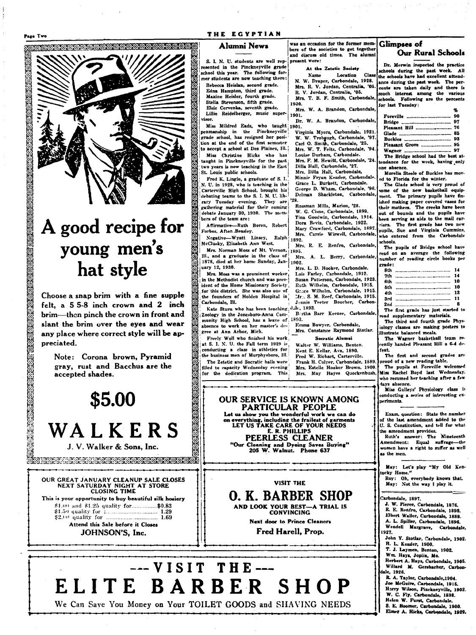Page Two

te de la composició de la composició de la composició de la composició de la composició de la composició de la<br>La composició de la composició de la composició de la composició de la composició de la composició de la compo

A good recipe for

young men's

hat style

Choose a snap brim with a fine supple

felt. a 55-8 inch crown and 2 inch

brim-then pinch the crown in front and

slant the brim over the eyes and wear

any place where correct style will be ap-

Note: Corona brown, Pyramid

gray, rust and Bacchus are the

\$5.00

accepted shades.

preciated.

#### Alumni News

S. I. N. U. students are well represented in the Pinckneyville grade school this year. The following former students are now teaching there:

Rebecca Heislan, second grade. Edna Hampton, third grade.<br>Maxine Heisler, fourth grade. Stella Stevenson, fifth grade. Elsie Cervenka, seventh grade. Lillie Reidelberger, music super-

risor.

Miss Mildred Eads, who taught 1901.<br>penmanship in the Pinckneyville Virgrade school, has resigned her position at the end of the first semester to accept a school at Des Plaines, Ill. Miss Christine Hicks who has taught in Pinckneyville for the past two years is now teaching in the East St. Louis public schools.

Fred K. Lingle, a graduate of S. I. N. U. in 1928, who is teaching in the Carterville High School, brought his debating teams to the S. I. N. U. lib-They are '28. rary Tuesday evening. They are<br>gathering material for their coming debate January 30, 1930. The members of the team are:

Affirmative-Ruth Boren, Robert Forbes, Aften Beasley.

Ralph Negative-Wyatt Linsey, McClusky, Elizabeth Ann West.

Mrs. Norman Moss of Mt. Vernon, 1895. Mrs. Notinan mose of the class of Mrs.<br>1878, died at her home Sunday, Jan- 1902. uary 12, 1930.

Mrs. Moss was a prominent worker, in the Methodist church and was president of the Home Missionary Society<br>for this district. She was also one of the founders of Holden Hospital in Carbondale, Ill.

Kate Sturn who has been teaching;d Zoology in the Jonesboro-Anna Community High School, has a leave of 1893. absence to work on her master's degree at Ann Arbor, Mich.

Freely Woll who finished his work at S. I. N. U. the Fall term 1929 is conducting a class in athletics for the business men of Murphysboro, Ill. The Zetetic and Socratic halls were filled to capacity Wednesday evening for the dedication program. This

was an occasion for the former mem-**Glimpses of** bers of the societies to get together<br>and discuss old times. The alumni present were: Dr. Merwin inspected the practice

At the Zetetic Society Location **Name** Class</sup> the schools have had excellent attend-N. W. Draper, Carbondale, 1928.<br>Mrs. R. V. Jordan, Centralia, '05. ance during the past week. The percents are taken daily and there is R. V. Jordan, Centralia, '05. much interest among the various<br>schools. Following are the percents Mrs. T. B. F. Smith, Carbondale, 1900. for last Tuesday:

Mrs. W. A. Brandon, Carbondale, 1901.

Dr. W. A. Brandon, Carbondale,

Virginia Myers, Carbondale, 1921 W. W. Trobaugh, Carbondale, '97.<br>Carl O. Smith, Carbondale, '25. Mrs. W. T. Felts, Carbondale, '94. Louise Durham, Carbondale. Mrs. F. M. Hewitt. Carbondale, '24 Dilla Hall, Carbondale, '27. Mrs. Dilla Hall, Carbondale,

Minnie Fryan Kessler, Carbondale. Grace L. Burkett, Carbondale.

George D. Wham, Carbondale, '96. Delman Shackleton, Carbondale,

Rossman Mills, Marion, '28 their mothers. The creeks have been W. G. Cisne, Carbondale, 1899. out of bounds and the pupils have Tina Goodwin, Carbondale, 1914. been serving as aids to the mail car-Dora Bevis, Carbondale, 1922. riers. The first grade has two new Mary Crawford, Carbondale, 1897. pupils, Sue and Virginia Cummins,<br>who entered from the Carbondale Mrs. Carrie Wiswell, Carbondale, schools.

1892. Mrs. R. E. Renfro, Carbondale,

The pupils of Bridge school have<br>read on an average the following Mrs. A. L. Berry, Carbondale. number of reading circle books per grade:

Mrs. L. D. Hooker, Carbondale. Lois Farley, Carbondale, 1912. Susan Patterson, Carbondale, 1923. Ruth Wilhelm, Carbondale, 1915. Grace Wilhelm, Carbondale, 1915.

Bortha Barr Keezee, Carbondale,

6th **Sth** . ... 13  $3rd$ 2nd The first grade has just started to read supplementary materials.

7th ...................

The third and fourth grade Physiology classes are making posters to illustrate balanced meals.

**Our Rural Schools** 

90

76

93

97

 $-85$ 

.... 95

. . . . . . . . . 14

10

 $\overline{10}$ 

 $\overline{11}$ 

chools during the past week. All

The Bridge school had the best at

Morelia Steele of Buckles has mov-

The Glade school is very proud of

some of the new basketball equip-

ment. The primary pupils have fin-

ished making paper covered vases for

tendance for the week, having only

ed to Florida for the winter.

Foreville ....

Glade ..........

Pleasant Hill ......

Pleasant Grove .....

Bridge.

Buckles .

Wagner ...

one absence.

**Rth** 

The Wagner basketball team re-<br>rently handed Pleasant Hill a 6-4 defeat.

The first and second oud of a new reading table.

The pupils at Foreville welcomed Miss Rachel Boyd last Wednesday. who resumed her teaching after a few lavs absence.

Miss Gulleys' Physiology class is onducting a series of interesting exneriments.

Exam. question: State the number of the last amendment added to the U. S. Constitution, and tell for what he amendment provides.

Ruth's answer: The Nineteenth<br>Amendment: Equal suffrage-the vomen have a right to suffer as well as the men.

May: Let's play "My Old Kenacky Home."

Roy: Oh. everybody knows that. May: Not the way I play it.

Carbondale, 1897.

J. W. Pierce, Carbondale, 1876 8. W. Fierce, Carbondale, 1893.<br>R. E. Renfro, Carbondale, 1893.<br>Elbert Waller, Carbondale, 1888. A. L. Spiller, Carbondale, 1896. Wendell Margrave, Carbondale 927.

John Y. Stotlar, Carbondale, 1902.

H. L. Kessler, 1900.<br>T. J. Laymen, Benton, 1902.

Wm. Hays, Joplin, Mo.

Herbert A. Hays, Carbondale, 1905. Willard M. Gersbacher, Carbon-

ale, 1926. R. A. Taylor, Carbondale, 1904. Joe McGuire, Carbondale, 1915.<br>Harry Wilson, Pinckneyville, 1902.<br>W. C. Fly, Carbondale, 1898. Helen W. Furst, Carbondale. S. E. Boomer, Carbondale, 1900

Elmer A. Hicks, Carbondale, 1929.

WALKERS J. V. Walker & Sons, Inc.

OUR GREAT JANUARY CLEANUP SALE CLOSES<br>NEXT SATURDAY NIGHT AT STORE<br>CLOSING TIME This is your opportunity to buy beautiful silk hosiery \$1.00 and \$1.25 quality for................\$0.83 Attend this Sale before it Closes JOHNSON'S, Inc.



**PARTICULAR PEOPLE** Let us show you the wonderful work we can do on everything, including the frailest of garments<br>LET US TAKE CARE OF YOUR NEEDS E. R. PHILLIPS PEERLESS CLEANER "Our Cleaning and Dyeing Saves Buying"<br>205 W. Walnut. Phone 637

OUR SERVICE IS KNOWN AMONG

AND LOOK YOUR BEST-A TRIAL IS<br>CONVINCING

VISIT THE **O. K. BARBER SHOP** 

Next door to Prince Cleaners

Fred Harell, Prop.

ta telegiaan as andinan mentang ngangkangkan tingkangkangkangkan.<br>20 merupakan mengangkang kalendar mengangkangkangkangkangkangkan

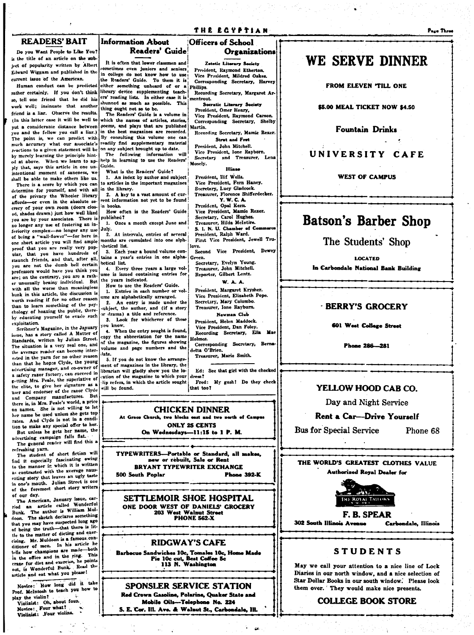#### **READERS' BAIT**

Do you Want People to Like You? is the title of an article on the subject of popularity written by Albert Elward Wiggam and published in the current issue of the American.

Human conduct can be predicted rather certainly. If you don't think so, tell one friend that he did his work well: insinuate that another friend is a liar. Observe the results. (In this latter case it will be well to put a considerable distance between on and the fellow you call a liar.) The point is, we can predict with much accuracy what our associate's reactions to a given statement will be by merely learning the principle hinted at above. When we learn to apply that, says this article in one unintentional moment of saneness, we shall be able to make others like us.

There is a score by which you can determine for yourself, and with all of the privacy the Wheeler library or even in the absolute seaffords crecy of your own room (doors closed, shades drawn) just how well liked you are by your associates. There is no longer any use of fostering an inferiority complex-no longer any use of being a "wall-flower"-for here in one short article you will find ample proof that you are really very pop-.<br>ular. that you have hundreds of staunch friends, and that, after all. you are not the dumb bell certain professors would have you think you are; on the contrary, you are a rather unusually brainy individual. But with all the worse than meaningless bunk in this article, the discussion is worth reading if for no other reason than to learn something of the psychology of hoaxing the public, thereby educating yourself to evade such .<br>exploitation.

Scribner's Magazine, in the January issue, has a story called A Matter of Standards, written by Julian Street. The situation is a very real one, and the average reader can become interested in the yarn for no other reason than that he hopes Clyde, the young advertising manager, and co-owner of a safety razor factory, can succeed in getting Mrs. Peale, the superlative of the elite, to give her signature as a user and endorser of the razor Ciyde and Company manufactures. But<br>there is, in Mrs. Peale's world, a price on names. She is not willing to let her name be used unless she gets top rates. And Clyde is not in a condition to make any special offer to her.

But unless he gets her name, the advertising campaign falls flat.

The general reader will find this a refreshing yarn. The student of short fiction will

find it especially fascinating ewing to the manner in which it is written as contrasted with the average nausenting story that leaves an ugly taste in one's mouth. Julian Street is one of the foremost short story writers of our day.

The American, January issue, carried an article called Wonderful Bunk. The author is William Muldoon. The sketch declares something that you may have suspected long ago<br>of being the truth-that there is little to the matter of dieting and exercising. Mr. Muldoon is a famous conditioner of men. In his article he tells how champions are made-both in the office and in the ring. eraxe for diet and exercise, he points out, is Wonderful Bunk. Read the article and eat what you please!

Novice: How long did it take Prof. McIntosh to teach you how to play the violin?

Violinist: Oh, about four. Novice: Four what?  $\ddot{\cdot}$ Violinist: Four violins.

#### **Information About** Readers' Guide

It is often that lower classmen and sometimes even juniors and seniors. in college do not know how to use the Readers' Guide. To them it is either something unheard of or a Phillips. library device supplementing teachers' reading lists. In either case it is shunned as much as possible. This thing ought not so to be.

The Readers' Guide is a volume in which the names of articles, stories, ocems, and plays that are published in the best magazines are recorded. By consulting this volume one can readily find supplementary material on any subject brought up to date.

The following information will help in learning to use the Readers' Guide. What is the Readers' Guide?

1. An index by author and subject to articles in the important magazines in the library.

2. A key to a vast amount of current information not yet to be found in books.

How often is the Readers' Guide published?

1. Once a month except June and July.

2. At intervals, entries of several months are cumulated into one alphhetical list.

3. Each year a bound volume contains a year's entries in one alphabetical list.

4. Every three years a large volume is issued containing entries for the years indicated.

How to use the Readers' Guide. 1. Entries in each number or vol-

ume are alphabetically arranged.  $2.$ An entry is made under the subject, the author, and (if a story or drama) a title and reference.

Look for whichever of these  $3.$ ou know.

4. When the entry sought is found, copy the abbreviation for the name of the magazine, the figures showing volume and page numbers and the late.

5. If you do not know the arrange ment of magazines in the library, the librarian will gladly show you the location of the magazine to which your dip refers, in which the article sought will be found.

Ed: See that girl with the checked Fred: My gosh! Do they check

**CHICKEN DINNER** At Grace Church, two blocks east and two orth of Compan **ONLY 25 CENTS** On Wednesdays-11:15 to 1 P. M.

TYPEWRITERS--- Portable or Standard, all makes,<br>new or rebuilt, Sale or Rent **BRYANT TYPEWRITER EXCHANGE** 500 South Poplar **Phone 392-K** 

SETTLEMOIR SHOE HOSPITAL ONE DOOR WEST OF DANIELS' GROCERY 203 West Walnut Street<br>PHONE 562-X

#### **RIDGWAY'S CAFE**

Barbocue Sandwiches 10c, Tomales 10c, Home Made<br>Pie 10c cut, Best Coffee 5c<br>113 N. Washington

SPONSLER SERVICE STATION Red Crown Gasoline, Polarine, Quaker State and Mobile Oils-Telephone No. 224 S. E. Cor. Ill. Ave. & Walnut St., Carbondale, Ill.

za.

## **WE SERVE DINNER**

FROM ELEVEN TILL ONE

\$5.00 MEAL TICKET NOW \$4.50

**Fountain Drinks** 

#### UNIVERSITY CAFE

**WEST OF CAMPUS** 

## **Batson's Barber Shop**

The Students' Shop

**LOCATED** 

In Carbondale National Bank Building

#### **BERRY'S GROCERY**

#### **601 West Collage Street**

Phone 286-281

#### YELLOW HOOD CAR CO.

Day and Night Service

#### **Rent a Car-Drive Yourself**

**Bus for Special Service** 

Phone 68

THE WORLD'S GREATEST CLOTHES VALUE **Authorized Royal Dealer for** 



F. B. SPEAR 302 South Illinois Avenue

Carbondale, Illinois

#### **STUDENTS**

May we call your attention to a nice line of Lock Diaries in our north window, and a nice selection of Star Dollar Books in our south window. Please look them over. They would make nice presents.

**COLLEGE BOOK STORE** 

#### THE ECYPTIAN

Zetotic Literary Society

President, Raymond Etherton.

Vice President, Mildred Oakes.

Corresponding Secretary, Harvey

Recording Secretary, Margaret Ar

Socratic Literary Society

Social Charles Control of President, Omer Henry,<br>Vice President, Raymond Carson.<br>Corresponding Secretary, Shelby

Recording Secretary, Mamie Rexer.

Strut and Fret

**Organizations** 

**Officers of School** 

mentrout.

Martin.



love. Second Vice President, Dewey

Green. Secretary, Evelyn Young. Treasurer, John Mitchell. Reporter, Gilbert Lentz.

#### **W.A.A.**

President, Margaret Krysher. Vice President, Elizabeth Pope. Secretary, Mary Colombo. Treasurer, Ione Rayburn. Newman Club President, Helen Maddock.

Vice President, Dan Foley. Recording Secretary, Ella Mae Holmez.

Corresponding Secretary, Berna detta O'Brien. Treasurer, Marie Smith.

dress? that too?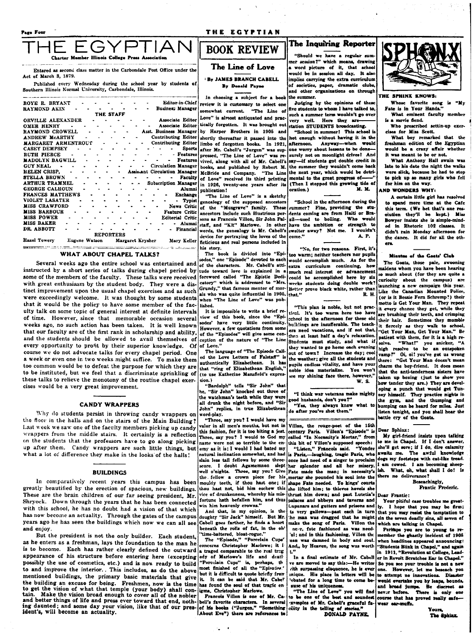#### THE EGYPTIAN

er Illinois College

Entered as second class matter in the Carbondale Post Office under the Act of March 3, 1879.

Published every Wednesday during the school year by students of Southern Illinois Normal University, Carbondale, Illinois.

| Editor-in-Chief<br>ROYE R. BRYANT                                       |
|-------------------------------------------------------------------------|
| Busines: Manager<br>RAYMOND AKIN                                        |
| THE STAFF                                                               |
| Associate Editor<br>ORVILLE ALEXANDER                                   |
| <b>Associate Editor</b><br><b>OMER HENRY</b><br>$\sim$                  |
| Asst. Business Manager<br>RAYMOND CROWELL                               |
| <b>Contributing Editor</b><br><b>ANDREW MCARTHY</b>                     |
| Contributing Editor<br>MARGARET ARMENTROUT<br>$\bullet$                 |
| Sports<br><b>CASEY DEMPSEY</b>                                          |
| - Features<br><b>RUTH PIERCE</b>                                        |
| <b>MADOLYN BAGWILL</b><br><b>Features</b>                               |
| <b>Circulation Manager</b><br><b>GUY NEAL</b>                           |
| <b>HELEN CRISP.</b><br><b>Assistant Circulation Manager</b>             |
| STELLA BROWN<br><b>Faculty</b>                                          |
| ARTHUR TRAMMEL<br><b>Subscription Manager</b>                           |
| <b>GEORGE CALHOUN</b><br>Alumni                                         |
| FRANCES MATTHEWS<br><b>Exchange</b>                                     |
| VIOLET LASATER<br>Typist                                                |
| <b>MISS CRAWFORD</b><br>News Critic                                     |
| <b>MISS BARBOUR</b><br><b>Feature Critic</b>                            |
| MISS POWER<br>Editorial Critic                                          |
| MISS BAKER<br>Alumni                                                    |
| DR ABBOTT<br>Financial                                                  |
| <b>REPORTERS</b>                                                        |
| <b>Hazel Towery</b><br>Eugene Watson<br>Margaret Krysher<br>Mary Keller |

#### WHAT ABOUT CHAPEL TALKS?

Several weeks ago the entire school was entertained and instructed by a short series of talks during chapel period by some of the members of the faculty. These talks were received with great enthusiasm by the student body. They were a distinct improvement upon the usual chapel exercises and as such were exceedingly welcome. It was thought by some students that it would be the policy to have some member of the faculty talk on some topic of general interest at definite intervals of time. However, since that memorable occasion several weeks ago, no such action has been taken. It is well known that our faculty are of the first rank in scholarship and ability, and the students should be allowed to avail themselves of every opportunity to profit by their superior knowledge. Of of Love." course we do not advocate talks for every chapel period. One a week or even one in two weeks might suffice. To make them too common would be to defeat the purpose for which they are to be instituted, but we feel that a discriminate sprinkling of these talks to relieve the monotony of the routine chapel exercises would be a very great improvement.

#### **CANDY WRAPPERS**

Why do students persist in throwing candy wrappers on the floor in the halls and on the stairs of the Main Building? Last week we saw one of the faculty members picking up candy wrappers from the middle stairs. It certainly is a reflection on the students that the professors have to go along picking up after them. Candy wrappers are such little things, but what a lot of difference they make in the looks of the halls!

#### **BUILDINGS**

In comparatively recent years this campus has been greatly beautified by the erection of spacious, new buildings. These are the brain children of our far seeing president, Mr. Shryock. Down through the years that he has been connected with this school, he has no doubt had a vision of that which has now become an actuality. Through the gates of the campus years ago he has seen the buildings which now we can all see and enjoy.

But the president is not the only builder. Each student, as he enters as a freshman, lays the foundation to the man he is to become. Each has rather clearly defined the outward appearance of his structure before entering here (excepting possibly the use of cosmetics, etc.) and is now ready to build to and improve the interior. This includes, as do the above mentioned buildings, the primary basic materials that give the building an excuse for being. Freshmen, now is the time to get the vision of what that temple (your body) shall contain. Make the vision broad enough to cover all of the nobler and better things of life and press ever toward that end, noth- bell's favorite characters. In several<br>ing daunted; and some day your vision, like that of our pres- of his books ("Jurgen," "Something ident's, will become an actuality.

## **BOOK REVIEW**

#### The Line of Love

**By JAMES BRANCH CABELL By Donald Payne** 

In choosing a subject for a book review it is customary to select one somewhat current. "The Line of Love" is almost antiquated and practically forgotten. It was brought out by Harper Brothers in 1905 and shortly thereafter it passed into the limbo of forgotten books. In 1921, after Mr. Cabell's "Jurgen" was sup-<br>pressed, "The Line of Love" was revived, along with all of Mr. Cabell's books, and published by Robert M.<br>McBride and Company. "The Line McBride and Company. of Love" received its third printing in 1926, twenty-one years after its publication!

"The Line of Love" is a sketchy genealogy of the supposed ancestors "Musgrave" of the family. These ancestors include such illustrious per-<br>sons as Francois Villon, Sir John Falstaff, and "Kit" Marlowe. In other words, the genealogy is Mr. Cabell's device for portraying the loves of the ficticious and real persons included in his story.

The book is divided into "Eni sodes." one "Episode" devoted to each of the characters. Mr. Cabell's attitude toward love is explained in a foreword called "The Enistle Dedi- $Mrs$ catory" which is addressed to Grundy," that famous mentor of morals who was quite influential in 1905, when "The Line of Love" was published.

It is impossible to write a brief re view of this book, since the "Episodes' have very little continuity. However, a few quotations from som of the "Episodes" will give some conception of the nature of "The Line

The language of "The Episode Called the Love Letters of Falstaff" is<br>authentically Elizabethean. It has that "ring of Elizabethean English," (to use Katherine Mansfield's expression.)

"Bardolph" tells "Sir John" that<br>he, "Sir John" knocked out three of the watchman's teeth while they were<br>all drunk the night before, and "Sir John" replies, in true Elizabethean word-play.

Three, say you? I would have my valor in all men's mouths, but not in this fashion, for it is too biting a jest Three, say you? I would to God my name were not so terrible to the enemy as it is; I would I had bated my natural inclination somewhat, and had slain less tall fellows by some three-I doubt Agamemnon slept well o'nights. Three, say you? Give Fate made the man; in necessity's the fellow a crown piece for his mortar she pounded his soul into the mouldy teeth, if thou hast one; if thou hast not, bid him eschew this she lifted him; to thieves hovels she vice of drunkenness, whereby his misfortune hath befallen him, and thus vin him heavenly crowns.'

And that, in my opinion, is the doughty "Sir Jack" himself. But Mr Cabell goes farther, he finds a heart beneath the rolls of fat, in the old time-battered, bloat-rogue

The "Episode," "Porcelain Cups concerns Christopher Marlowe: it ia traged comparable to the real treg edy of Marlowe's life and death most finished of all the "Epiroder." it is difficult to quote briefly from it. It can be said that Mr. Cabe! has found the soul of that tragic enigma, Christopher Marlowe.

Francois Villon is one of Mr. Ca-About Eve") there are references to

 $\sim$ 

#### The Inquiring Reporter

"Should we have a regular sum mer session?" which means, drawing a word picture of it, that school would be in seasion all day. It alse implies carrying the extra curriculum of societies, paper, dramatic clubs and other organizations on through the summer.

Judging by the opinions of these five students to whom I have talked to. such a summer term wouldn't go over Here they are very well. station STUDENTS broadcasting.

"School in summer! This school is hot enough without having it in the afternoon. Anyway-when would one worry about lessons to be donesurely not on moonlight drives! And say-if students got double credit in the summer they wouldn't come back<br>the next year, which would be detrimental to the great progress of-(Then I stopped this growing tide of **M. M.** oration. )

"School in the afternoon during the cummer? Fine, providing the students coming are from Haiti or Brazil-used to boiling. Who would have the ambition or strength **t** swelter away? Not me. I wouldn't **A.P.** come."

"No, for two reasons. First, it's too warm; neither teachers nor pupils would accomplish much. As for the extra curriculum continuing, how much real interest or advancement could be accomplished here by six wecks students doing double work? Better prove black white, rather than that." R. H.

"This plan is noble, but not prac tical. It's too warm here too have cchool in the afternoon for these old buildings are insufferable. The teach ers need vacations, and if not that, then at least half a day's relaxation. Students must study, and what if they wanted to go home each evening out of town? Increase the day: cool the weather; give all the students and pupils endless vitality, and have your noble idea materialize. You won't see my shining face there, however. **w.s.** 

"I think war veterans make mighty good husbands, don't you?"

"Yes, they always know what to do after you've shot them."

Villon, the rouge-poet of the 15th century Paris. Villon's "Episode" is called "In Necessity's Mortar," from concorner recessity a mortar," from<br>this bit of Villon's supposed speech:<br>"Listen," Francois said. "Yonder" is Paris.---laughing, tragic Paris, who once had need of a singer to proclaim splendor and all her misery. shape Fate needed. To kings' court thrust him down: and past Lutetia's palaces and abbeys and taverns and Lupanars and gutters and prisons and ts very gallows-past each in turn he man was dragged that he might make the song of Paris. Villon the neer, fate fashioned as was need-'ul; and in this fashioning, Villon the nan was damned in body and soul And., by Heaven, the song was worth  $\ddot{\phantom{1}}$ 

In a final estimate of Mr. Cabell e are moved to say this:-He writes rith surpassing elequence, he is ever His place in letters will be mique. ebated for a long time to come be ause of his uniqueness. you will find

"The Line of Love" to be one of the best and soundest Enumples of Mr. Cabell's graceful facility in the telling of stories.

DONALD PAYNE.



THE SPHINX KNOWS: Whose favorite song is "My Fate is in Your Hands.

What eminent faculty member is a movie fiend.

Who prescribed settin-up exercises for Miss Scott.

What boy remarked that the freshman edition of the Egyptian would be a crazy affair whether it was meant to be or not.

What Anthony Hall swain was late to his date the night the walks were slick, because he had to stop to pick up so many girls who fell for him on the way.

#### AND WONDERS WHY.

A certain little girl has resolved to spend more time at the Cafe this term. (We bet that's one resolution they'll be kept.) Miss Bowyer insists she is simple-minded in Rhetoric 102 classes. It didn't rain Monday afternoon for the dance. It did for all the oth-

Minutes of the Geats' Club

The Goats, those pale, swooning maidens whom you have been hearing so much about (for they are quite a curiosity about the campus) are aunching a new campaign this year. Like the Canadian Mounted Police, (or is it Bessie Fern Schremp?) their motto is Get Your Man. They repeat it every chance they get, while they are brushing their teeth, and crimping their hair. Sometimes they mumble it fiercely as they walk to school, "Get Your Man, Get Your Man." B. patient with them, for it is a high re-"What!" you snicker, "A solve. high resolve to be an outspoken Oi, oi! you've got us wrong vamp!" there: "Get Your Man doesn't mean charm the boy-friend. It does mean that the anti-tenderness sisters have taken up boxing (just to show you how tender they are.) They are developing a punch that would get Tunney himself. They practice nights in the gym, and the thumping and bumping can be heard for miles. Just listen tonight, and you shall hear the battle cry of the Goats.

Dear Sphinx:

My girl-friend insists upon talking to me in Chapel. If I don't answer. she'll get sore; if I do, dire calamity swaits me. The awful knowledge dogs my footsteps with cat-like tread. I am cowed. I am becoming sheepish. What, oh, what shall I do! Is there no deliverance?

> **Beseachingly**. Frantic Frederic.

Dear Frantic:

Your pitiful case troubles me great-I hope that you may be firm; lv. that you may resist the temptation to sin the seven deadly sins, all seven of which are talking in Chapel.

Perimps you are to young to reember the ghastly incident of 1908 when headlines appeared announcing: 'Students Blink in Chapel," and again n 1911. "Revolution at College, Leader in Revolt Scratches Ear in Chanel.' So you see your trouble is not a new However, let me beseach you to attempt no innovations. Disaster would overcane you. Be discreen ...<br>and broad jumps. Be discreen ...<br>haven. There is only one course that has proved really safewear ear-muffs.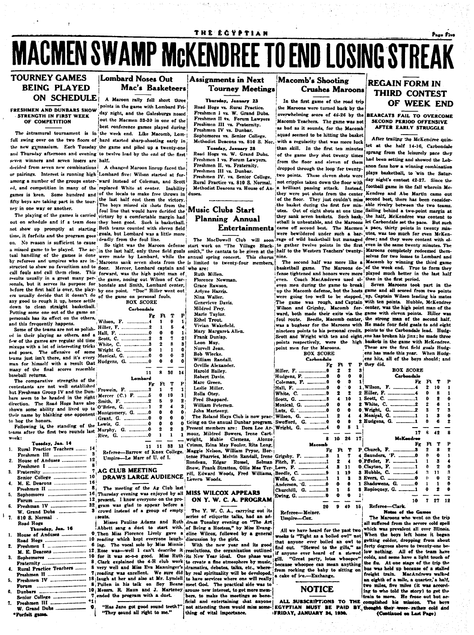# **MACMEN SWAMP MCKENDREE TO END LOSING STREAK**

#### **TOURNEY GAMES BEING PLAYED ON SCHEDULE**

#### STRENGTH IN FIRST WEEK OF COMPETITION

the new gymnasium. Each Tuesday the game and piled up a twenty-one and Thursday afternoon and evening to twelve lead by the end of the first seven winners and seven losers are half.

ney in one way or another.

The playing of the games is carried time, it forfeits and the program goes goals, but Lombard was a little more<br>on. No reason is sufficient to cause deally from the foul line. a missed game to be played. The acc- in the last half, only three field goals smith," the cantata to be glue and the last half will age Black- to gather twelve points in the first even in the same twenty minutes. The tual results usually in a great many person game, nosing out whose of the sonals, but it serves its purpose for bondale and Smith, Lombard center, before the first half is over, the play- by one point. "Doc" Hiller went out ers usually decide that it doesn't do of any good to rough it up, hence settle down to clean straight basketball. Putting some one out of the game on personals has its effect on the others, and this frequently happens.

Some of the teams are not so polish- Hill ed in their playing as others, and a Hall few of the games are regular old time mixups with a lot of interesting tricks and poses. The offensive of some teams just isn't there, and it's every man for himself with a result that Hud many of the final scores resemble baseball returns.

The comparative strengths of the contestants are not well established but Freshman Group IV and the Dun-Fro bars seem to be headed in the right Met direction. The Road Hogs have also Smi shown some ability and lived up to O'B their name by blanking one opponent Mor Gra to hog the honors.

Following is the standing of the Lew teams after the first two rounds last

|    | Tuesday, Jan. 14                                             |              |
|----|--------------------------------------------------------------|--------------|
| 1. | Rural Practice Teachers  1                                   |              |
|    |                                                              |              |
| 2. | House of Anduses  12                                         |              |
|    |                                                              |              |
| 3. | Fraternity                                                   | ï            |
|    | Senior College                                               | $\mathbf{1}$ |
| 4. | M. E. Deacons                                                | $\mathbf{1}$ |
|    | Freshmen II                                                  | J            |
| 5. | Sophomores  10                                               |              |
|    |                                                              | 11           |
| €. | Freshman IV  31                                              |              |
|    |                                                              |              |
| 7. | 810 S. Normal .                                              |              |
|    | Road Hogs                                                    |              |
|    | Thursday, Jan. 16                                            |              |
| 1. |                                                              |              |
|    |                                                              |              |
| 2. |                                                              |              |
|    | M. E. Deacons  12                                            |              |
| 3. | Sophomores  10                                               |              |
|    | Fraternity                                                   | f            |
| 4. | Rural Practice Teachers                                      | É            |
|    |                                                              | ş            |
| 5. | Freshmen IV  18                                              | f            |
|    |                                                              |              |
| G. |                                                              |              |
|    |                                                              | ۹<br>۰,      |
| 7. |                                                              |              |
|    |                                                              | €            |
|    | .<br>and the contract of the contract of the contract of the |              |

#### Lombard Noses Out Mac's Basketeers

A Maroon rally fell short three FRESHMEN AND DUNBARS SHOW Jane and the game with Lombard Friout the Macmen 33-30 in one of the best conference games played during The intramural tournament is in the week end. Like Macomb. Lomfull swing over on the two floors of bard started sharp-shooting early in

decided from seven new combinations | A changed Maroon lineup faced the or pairings. Interest is running high Lombard five: Wilson started at foramong a number of the groups enter- ward instead of Coleman, and Scott ed, and competition in many of the replaced White at center. Inability games is keen. Some hundred and of the locals to make free throws in fifty boys are taking part in the tour-ine last half cost them the victory. The boys missed six shots from the

foul line that would have decided the victory by a comfortable margin had out on schedule and if a team does they been good. Such is basketball. not show up promptly at starting Both teams counted with eleven field

structed to show no favoritism and to floor. Mercer, Lombard captain and who are: stational fouls and call them close. This forward, was the high point man of results usually in a great many per-the game, nosing out Wilson of Car-

wa

Seq

Wh

 $W_{\mathcal{F}}$ 

Mot

Мш

Ric-

| the game on personal fouls.<br><b>BOX SCORE</b> |    |    |                      |                |  |  |  |
|-------------------------------------------------|----|----|----------------------|----------------|--|--|--|
| <b>Carbondale</b>                               |    |    |                      |                |  |  |  |
|                                                 | Fe | Ft | T                    | P              |  |  |  |
| son, F. 4                                       |    | 1  | 9                    | 1 ;            |  |  |  |
| er, F, 2                                        |    | 1  | 5                    | 4              |  |  |  |
| l. F. 0                                         |    | 0  | Ó                    | 1 i            |  |  |  |
| tt. C. 2                                        |    | 2  | 7                    | 21             |  |  |  |
| ite, C. 3                                       |    | 2  | 8                    | s.             |  |  |  |
| ght G. 0                                        |    | 1  | 1                    | 0              |  |  |  |
| nical, G. 0                                     |    | 0  | 0                    | 3              |  |  |  |
| igens, G. 0                                     |    | 0  | ٥                    | ٥              |  |  |  |
|                                                 |    |    |                      |                |  |  |  |
|                                                 | 11 | 8  | 30                   | 14             |  |  |  |
| Lombard                                         |    |    |                      |                |  |  |  |
|                                                 | Fg | Ft | T                    | P!             |  |  |  |
| wein, F. 3                                      |    | 1  |                      |                |  |  |  |
|                                                 |    |    | 7                    | $\mathbf{1}$   |  |  |  |
| сег (С.) F. 5                                   |    | 0  | 10                   | 1              |  |  |  |
| th, F. 2                                        |    | к  | 9                    | $\overline{2}$ |  |  |  |
| rien, G. 1                                      |    | 2  | $\ddot{\phantom{a}}$ | 3i             |  |  |  |
| tgomery, G. 0                                   |    | 0  | 0                    | 0:             |  |  |  |
| nt. G. 0                                        |    | 0  | 0                    | O.             |  |  |  |
| is, G. 0                                        |    | ٥  | 0                    | o t            |  |  |  |
| թհy, G. 0                                       |    | 2  | 2                    | 3 F            |  |  |  |
| . G. 0                                          |    | 1  | 1                    | 1 I<br>۳, ب    |  |  |  |

Referee-Barrow of Knox College. Umpire-Le Marr of U. of I.

#### AG CLUB MEETING

The meeting of the Ag Club last Thursday evening was enjoyed by all MISS WILCOX APPEARS present. I know everyone on the program was glad to appear before a crowd instead of a group of empty *i* seats.

Abbett sang a duet to start with of Being a Hostess," by Miss Evang-Then Miss Florence Lively gave a eline Wilcox, followed by a general reading which kept everyone laugh- discussion by the girls. ing. The vocal solo by Miss Minnie Rose was ---well I can't describe it resolutions, the organization outlined for it was so-o-o good. Miss Ruth its New Year ideal. One phase was Clark explained the 4-H club work to create a fine atmosphere by music, very well and Miss Eva Manninger's dramatics, debates, talks, etc., where the<br>cause whoopee can mean anything reading was excellent. We sure did by real spirituality will be developed.<br>Irom rocking the baby to sitting on<br> Pullen in his talk on Soy Beans meet God. The practical side was to Messre. R. Haun and J. Marteney arouse new interest, to get more memended the program with a duet.

"Has Jane got good sound teeth?" "They cound all right to me."

#### **Assignments in Next Tourney Meetings**

Thursday, January 23 Road Hogs vs. Rural Practice Freshmen I vs. W. Grand Dubs. Freshmen II vs. Forum Lawyers Freshmen III vs. Fraternity. Freshmen IV vs. Dunbar. ophomores vs. Senior College. Methodist Deacons vs. 810 S. Nor

Tuesday, January 28 Road Hogs vs. W. Grand Dubs.<br>Freshmen I vs. Forum Lawyers. Freshmen II. vs. Fraternity. Freshmen III vs. Dunbar. Freshmen IV. vs. Senior College. Rural Practice vs. 810 S. Normal. Methodist Deacons vs. House of An duses.

#### **Music Clubs Start Planning Annual Entertainments**

Ruth Millen. Florence Newman. Grace Rawson. Arivne Harris. Nina Waller. Genevieve Davis. Mildred Frev. Marie Taylor. Ethel Trout. Vivian Wakefield. Mary Margaret Allen. Frank Dunlap. Leon May. Norvell Jean. Bob Wlecke. William Randall. Orville Alexander. **Harold Bailey.** Robert Davis Mare Green. Leslie Miller. Rolla Otey. Fred Shappard. William Petersen. John Marteeny. The Roland Hays Club is now prac- Wilson, G. icing on the annual Dunbar program. Swofford, G. ...... resent members are: Dora Lee Arnour, Mildred Bowers, Irene Cartvright. Mable Clemens. Alonzo 11 11 33 11 Crimm, Edna May Fouler, Rita Long, Maggie Nelson, William Pryor, Hor-Rondeau, Edgar Russel, Selman Fitch, F. Snow, Frank Stratton, Ollie Mae Ter-Love, F. DRAWS LARGE AUDIENCE rill, Edward Woods, Fred Williams,

## ON Y. W. C. A. PROGRAM

The Y. W. C. A., carrying out its series of etiquette talks, had an ad-Misses Pauline Adams and Ruth dress Tuesday evening on "The Art

> With the new year and its good to have services where one will really bers, to make the meetings so bene ficial and entertaining chat anyone

#### Macomb's Shooting **Crushes Maroons**

In the first game of the road trip the Marcons were turned back by the overwhelming score of 48-26 by the Macomb Teachers. The game was not as bad as it sounds, for the Macomb squad seemed to be hitting the basket with a regularity that was more luck than skill. In the first ten minutes of the game they shot twenty times from the floor and eleven of them dropped through the loop for twentytwo points. These eleven shots were not cripples taken down the floor with a brilliant passing attack. Instead, of the floor. they sank seven baskets. Such bask-

hasketball game. The Maroons de-of the week end. True to form they fense tightened and honors were more played much better in the last half Coach MacAndrews used el- than in the first period. even men during the game to break Seven Marcons took part in the point men for the Marcons. **BOX SCORE** 

#### Carbondale  $F<sub>E</sub>$  $F1 T$ Hiller, F. ó  $\boldsymbol{2}$  $\bullet$ Hudgens, F.  $\bullet$  $\mathbf{a}$  $\Omega$  $\ddot{\mathbf{v}}$  $\bullet$ Coleman, F. .. Hall, F. .......  $\mathbf{a}$  $\ddot{\phantom{a}}$  $\bullet$ White, C.  $\overline{\mathbf{2}}$  $\overline{2}$  $\mathbf{r}$ 4 Scott G 10 Monical, G. ō Ō.  $\bullet$ Lutz, G.  $\ddot{\phantom{a}}$  $\mathbf{2}$  $\bullet$ Wright, G. Ă  $\mathbf{a}$  $\mathbf{R}$  $\mathbf{1}$  $\overline{\mathbf{a}}$ 10 26  $1^{\prime}$  $F_{\mathcal{C}}$  $Ft$  $\mathbf{r}$ п Grigsby, F.  $\mathbf{1}$  $\overline{2}$  $\overline{a}$ 11  $\mathbf{3}$ Beedle, C.  $\mathbf{I}$ 19 Wells. G. -3 Anderson. G.  $\mathbf 0$  $\bullet$  $\mathbf{0}$ Churchill, G. ...  $\overline{2}$  $\mathbf{1}$  $\bullet$  $\mathbf{0}$ Ewing, G. ... n

 $20$ Referee--Meiner. Umpire-Cox.

All we have heard for the past two weeks is "Tight as a boiled owl" not that anyone ever boiled an owl to<br>find out. "Stewed to the gills." as if anyone ever heard of a stewed gill. "Great party, lotsa whoopee" hecause whoopee can mean anything

 $\pmb{9}$ 49

#### **NOTICE**

not attending them would miss some-|EGYPTIAN MUST BE PAID BY, thought they were rather cold and<br>|thing of vital importance. IFRIDAY, JANUARY 24, 1930. (Continued on Last Page)

#### **REGAIN FORM IN** THIRD CONTEST OF WEEK END

#### **BEARCATS FAIL TO OVERCOME** SECOND PERIOD OFFENSIVE **AFTER EARLY STRUGGLE**

After trailing the McKendree quintet at the half 14-16, Carbondale sprang from the leisurely pace they had been setting and showed the Lebanon fans how a winning combination plays basketball, to win the Saturday night's contest 42-27. Since the football game in the fall wherein Mcthey were pot shots from the center Kendree and Abe Martin came out They just couldn't miss second best, there has been considerthe basket during the first few min-able rivalry between the two teams. utes. Out of eight shots at one time Sailing behind a two-point margin at the half, McKendree was content to etball is unbeatable, and the Marcons let Carbondale set the pace. But such came off second best. The Macmen a pace, thirty points in twenty min-<br>were bewildered under such a bar- utes, was too much for even McKen-

up the Macomb defense, but the hosts game and all scored from two points ere going too well to be stopped. up. Captain Wilson leading his mates The game was rough, and Captain with ten points. Hubble, McKendree Wilson and Grigsby, Macomb for-center, was the high point man of the ward, both made their exits via the game with eleven points. Hiller was foul route. Beedle, Macomb center, the strong man of the second half.<br>was a bugbear for the Marcons with He made four field goals to add eight nineteen points to his personal credit. points to the Carbondale lead. Hudg-Scott and Wright with ten and eight ens has broken his jinx; he made three points respectively, were the high baskets in the game with McKendree.

These are the first field goals Hudgens has made this year. When Hudgens hits, all of the boys should: and P they did.

| 3  | <b>BOX SCORE</b>   |    |    |    |    |
|----|--------------------|----|----|----|----|
| 0  | <b>Carbondale</b>  |    |    |    |    |
| 1  |                    | Fg | Ft | т  | P  |
|    | 1. Wilson, F. 4    |    | 2  | 10 | 1  |
|    |                    |    | ē  | R  | 1  |
|    | 1 Scott, C. 1      |    | 0  | 2  | o  |
|    |                    |    | 2  | 6  | 1  |
|    | 0 Wright, G. 2     |    | 3  | 7  | 3  |
|    | 4 Monical, G. 1    |    | 1  | 2  | Û  |
|    | 2 Hudgens, G. 1    |    | Ð  | 6  | 2  |
| 1  |                    |    |    |    |    |
|    |                    | 17 | ۶  | 42 | 8  |
| 17 | McKendree          |    |    |    |    |
|    |                    | Fz | Ft | T  | P  |
|    |                    |    | 2  | 8  | 2  |
|    |                    |    |    |    |    |
|    |                    |    | Ũ  | e  | 1  |
|    | 4 Saunders, F. 0   |    | 1  | 3  | 4  |
|    | 0 Pffefer, F. 1    |    | 0  | 2  | o  |
|    | 0. Clayton, F. 1   |    | 3  | 11 | я  |
|    |                    |    | 0  | Ω  | 2  |
|    | 1 Shadowens, G.  0 |    | ī  | 1  | ß  |
|    | 3 Ropioquey, G. 1  |    | o  | 2  | e  |
| 1  |                    |    |    |    |    |
|    |                    | 10 | 7  | 27 | 12 |

Refere Notes of the Gau

The Marcons who went on the trip all suffered from the severe cold spell which was prevalent all over Illinois. When the boys left home it began getting colder, dropping from ab forty degrees above to twenty-one below nothing. All of the team have colds, and some have a light touch of the flu. At one stage of the trip the bus was held up because of a stalled freight train. MacAndrews walked an eighth of a mile, a quarter, a half, two miles, five miles (it was according to who told the story) to get the train to move. He froze out but ac-ALL SUBSCRIPTIONS TO THE complished his mission. The boys

Page Five